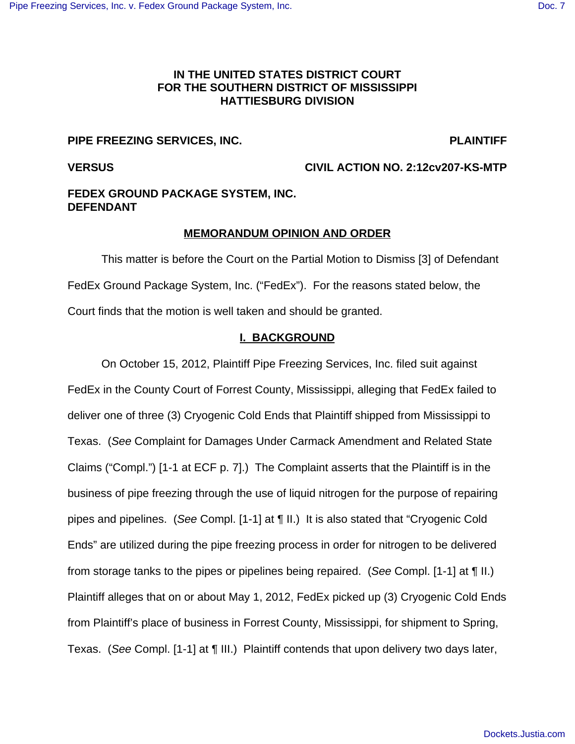# **IN THE UNITED STATES DISTRICT COURT FOR THE SOUTHERN DISTRICT OF MISSISSIPPI HATTIESBURG DIVISION**

# **PIPE FREEZING SERVICES, INC. PLAINTIFF**

**VERSUS CIVIL ACTION NO. 2:12cv207-KS-MTP**

# **FEDEX GROUND PACKAGE SYSTEM, INC. DEFENDANT**

# **MEMORANDUM OPINION AND ORDER**

This matter is before the Court on the Partial Motion to Dismiss [3] of Defendant FedEx Ground Package System, Inc. ("FedEx"). For the reasons stated below, the Court finds that the motion is well taken and should be granted.

# **I. BACKGROUND**

On October 15, 2012, Plaintiff Pipe Freezing Services, Inc. filed suit against FedEx in the County Court of Forrest County, Mississippi, alleging that FedEx failed to deliver one of three (3) Cryogenic Cold Ends that Plaintiff shipped from Mississippi to Texas. (See Complaint for Damages Under Carmack Amendment and Related State Claims ("Compl.") [1-1 at ECF p. 7].) The Complaint asserts that the Plaintiff is in the business of pipe freezing through the use of liquid nitrogen for the purpose of repairing pipes and pipelines. (See Compl. [1-1] at ¶ II.) It is also stated that "Cryogenic Cold Ends" are utilized during the pipe freezing process in order for nitrogen to be delivered from storage tanks to the pipes or pipelines being repaired. (See Compl. [1-1] at ¶ II.) Plaintiff alleges that on or about May 1, 2012, FedEx picked up (3) Cryogenic Cold Ends from Plaintiff's place of business in Forrest County, Mississippi, for shipment to Spring, Texas. (See Compl. [1-1] at ¶ III.) Plaintiff contends that upon delivery two days later,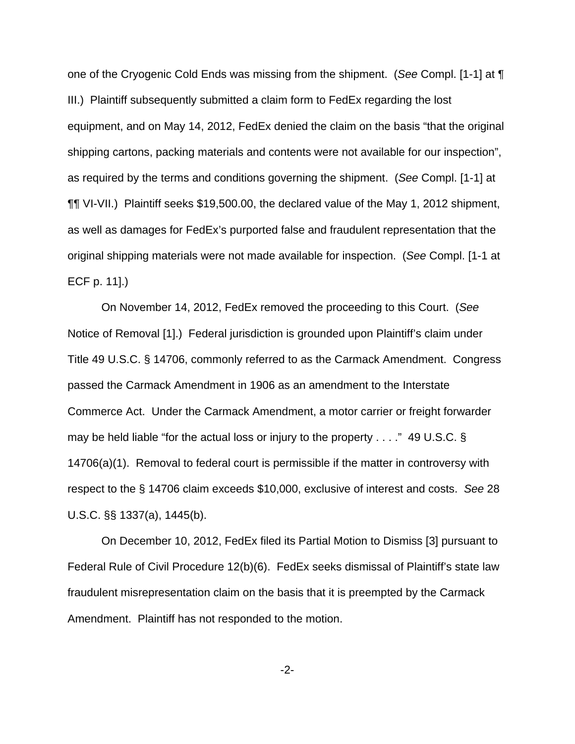one of the Cryogenic Cold Ends was missing from the shipment. (See Compl. [1-1] at ¶ III.) Plaintiff subsequently submitted a claim form to FedEx regarding the lost equipment, and on May 14, 2012, FedEx denied the claim on the basis "that the original shipping cartons, packing materials and contents were not available for our inspection", as required by the terms and conditions governing the shipment. (See Compl. [1-1] at ¶¶ VI-VII.) Plaintiff seeks \$19,500.00, the declared value of the May 1, 2012 shipment, as well as damages for FedEx's purported false and fraudulent representation that the original shipping materials were not made available for inspection. (See Compl. [1-1 at ECF p. 11].)

On November 14, 2012, FedEx removed the proceeding to this Court. (See Notice of Removal [1].) Federal jurisdiction is grounded upon Plaintiff's claim under Title 49 U.S.C. § 14706, commonly referred to as the Carmack Amendment. Congress passed the Carmack Amendment in 1906 as an amendment to the Interstate Commerce Act. Under the Carmack Amendment, a motor carrier or freight forwarder may be held liable "for the actual loss or injury to the property . . . ." 49 U.S.C. § 14706(a)(1). Removal to federal court is permissible if the matter in controversy with respect to the § 14706 claim exceeds \$10,000, exclusive of interest and costs. See 28 U.S.C. §§ 1337(a), 1445(b).

On December 10, 2012, FedEx filed its Partial Motion to Dismiss [3] pursuant to Federal Rule of Civil Procedure 12(b)(6). FedEx seeks dismissal of Plaintiff's state law fraudulent misrepresentation claim on the basis that it is preempted by the Carmack Amendment. Plaintiff has not responded to the motion.

-2-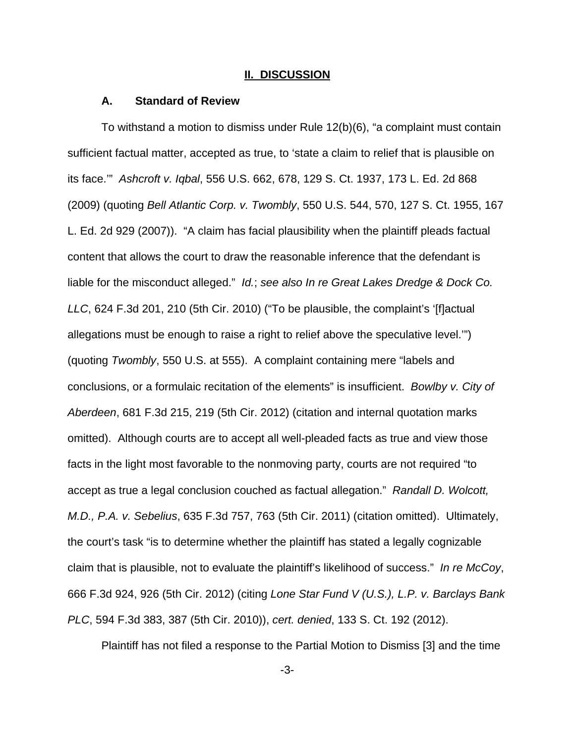## **II. DISCUSSION**

### **A. Standard of Review**

To withstand a motion to dismiss under Rule 12(b)(6), "a complaint must contain sufficient factual matter, accepted as true, to 'state a claim to relief that is plausible on its face.'" Ashcroft v. Iqbal, 556 U.S. 662, 678, 129 S. Ct. 1937, 173 L. Ed. 2d 868 (2009) (quoting Bell Atlantic Corp. v. Twombly, 550 U.S. 544, 570, 127 S. Ct. 1955, 167 L. Ed. 2d 929 (2007)). "A claim has facial plausibility when the plaintiff pleads factual content that allows the court to draw the reasonable inference that the defendant is liable for the misconduct alleged." Id.; see also In re Great Lakes Dredge & Dock Co. LLC, 624 F.3d 201, 210 (5th Cir. 2010) ("To be plausible, the complaint's '[f]actual allegations must be enough to raise a right to relief above the speculative level.'") (quoting Twombly, 550 U.S. at 555). A complaint containing mere "labels and conclusions, or a formulaic recitation of the elements" is insufficient. Bowlby v. City of Aberdeen, 681 F.3d 215, 219 (5th Cir. 2012) (citation and internal quotation marks omitted). Although courts are to accept all well-pleaded facts as true and view those facts in the light most favorable to the nonmoving party, courts are not required "to accept as true a legal conclusion couched as factual allegation." Randall D. Wolcott, M.D., P.A. v. Sebelius, 635 F.3d 757, 763 (5th Cir. 2011) (citation omitted). Ultimately, the court's task "is to determine whether the plaintiff has stated a legally cognizable claim that is plausible, not to evaluate the plaintiff's likelihood of success." In re McCoy, 666 F.3d 924, 926 (5th Cir. 2012) (citing Lone Star Fund V (U.S.), L.P. v. Barclays Bank PLC, 594 F.3d 383, 387 (5th Cir. 2010)), cert. denied, 133 S. Ct. 192 (2012).

Plaintiff has not filed a response to the Partial Motion to Dismiss [3] and the time

-3-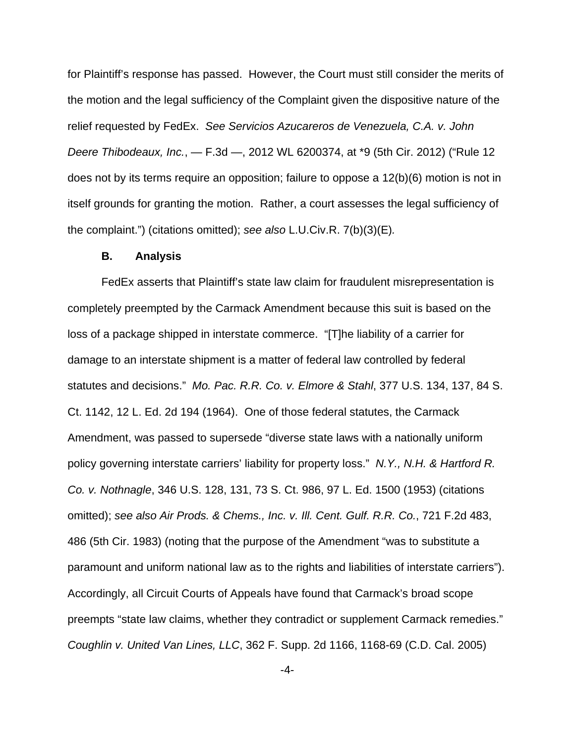for Plaintiff's response has passed. However, the Court must still consider the merits of the motion and the legal sufficiency of the Complaint given the dispositive nature of the relief requested by FedEx. See Servicios Azucareros de Venezuela, C.A. v. John Deere Thibodeaux, Inc., — F.3d —, 2012 WL 6200374, at \*9 (5th Cir. 2012) ("Rule 12 does not by its terms require an opposition; failure to oppose a 12(b)(6) motion is not in itself grounds for granting the motion. Rather, a court assesses the legal sufficiency of the complaint.") (citations omitted); see also L.U.Civ.R. 7(b)(3)(E).

## **B. Analysis**

FedEx asserts that Plaintiff's state law claim for fraudulent misrepresentation is completely preempted by the Carmack Amendment because this suit is based on the loss of a package shipped in interstate commerce. "[T]he liability of a carrier for damage to an interstate shipment is a matter of federal law controlled by federal statutes and decisions." Mo. Pac. R.R. Co. v. Elmore & Stahl, 377 U.S. 134, 137, 84 S. Ct. 1142, 12 L. Ed. 2d 194 (1964). One of those federal statutes, the Carmack Amendment, was passed to supersede "diverse state laws with a nationally uniform policy governing interstate carriers' liability for property loss." N.Y., N.H. & Hartford R. Co. v. Nothnagle, 346 U.S. 128, 131, 73 S. Ct. 986, 97 L. Ed. 1500 (1953) (citations omitted); see also Air Prods. & Chems., Inc. v. Ill. Cent. Gulf. R.R. Co., 721 F.2d 483, 486 (5th Cir. 1983) (noting that the purpose of the Amendment "was to substitute a paramount and uniform national law as to the rights and liabilities of interstate carriers"). Accordingly, all Circuit Courts of Appeals have found that Carmack's broad scope preempts "state law claims, whether they contradict or supplement Carmack remedies." Coughlin v. United Van Lines, LLC, 362 F. Supp. 2d 1166, 1168-69 (C.D. Cal. 2005)

-4-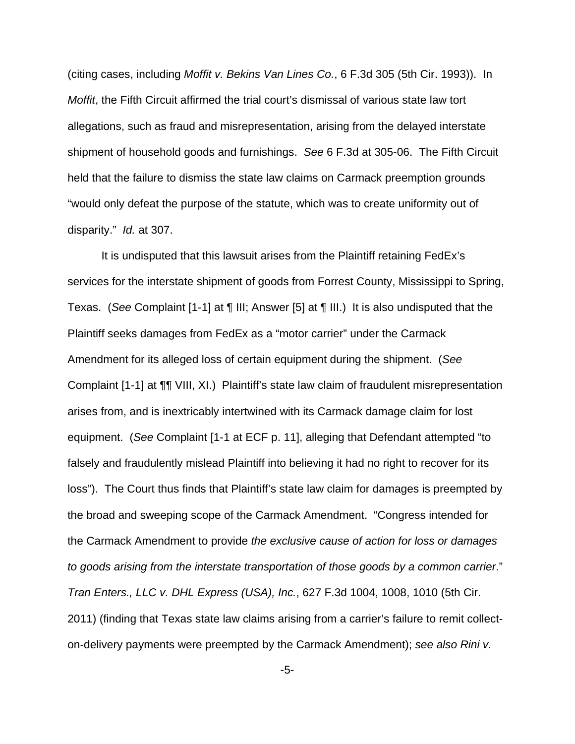(citing cases, including Moffit v. Bekins Van Lines Co., 6 F.3d 305 (5th Cir. 1993)). In Moffit, the Fifth Circuit affirmed the trial court's dismissal of various state law tort allegations, such as fraud and misrepresentation, arising from the delayed interstate shipment of household goods and furnishings. See 6 F.3d at 305-06. The Fifth Circuit held that the failure to dismiss the state law claims on Carmack preemption grounds "would only defeat the purpose of the statute, which was to create uniformity out of disparity." Id. at 307.

It is undisputed that this lawsuit arises from the Plaintiff retaining FedEx's services for the interstate shipment of goods from Forrest County, Mississippi to Spring, Texas. (See Complaint [1-1] at ¶ III; Answer [5] at ¶ III.) It is also undisputed that the Plaintiff seeks damages from FedEx as a "motor carrier" under the Carmack Amendment for its alleged loss of certain equipment during the shipment. (See Complaint [1-1] at ¶¶ VIII, XI.) Plaintiff's state law claim of fraudulent misrepresentation arises from, and is inextricably intertwined with its Carmack damage claim for lost equipment. (See Complaint [1-1 at ECF p. 11], alleging that Defendant attempted "to falsely and fraudulently mislead Plaintiff into believing it had no right to recover for its loss"). The Court thus finds that Plaintiff's state law claim for damages is preempted by the broad and sweeping scope of the Carmack Amendment. "Congress intended for the Carmack Amendment to provide the exclusive cause of action for loss or damages to goods arising from the interstate transportation of those goods by a common carrier." Tran Enters., LLC v. DHL Express (USA), Inc., 627 F.3d 1004, 1008, 1010 (5th Cir. 2011) (finding that Texas state law claims arising from a carrier's failure to remit collecton-delivery payments were preempted by the Carmack Amendment); see also Rini v.

-5-